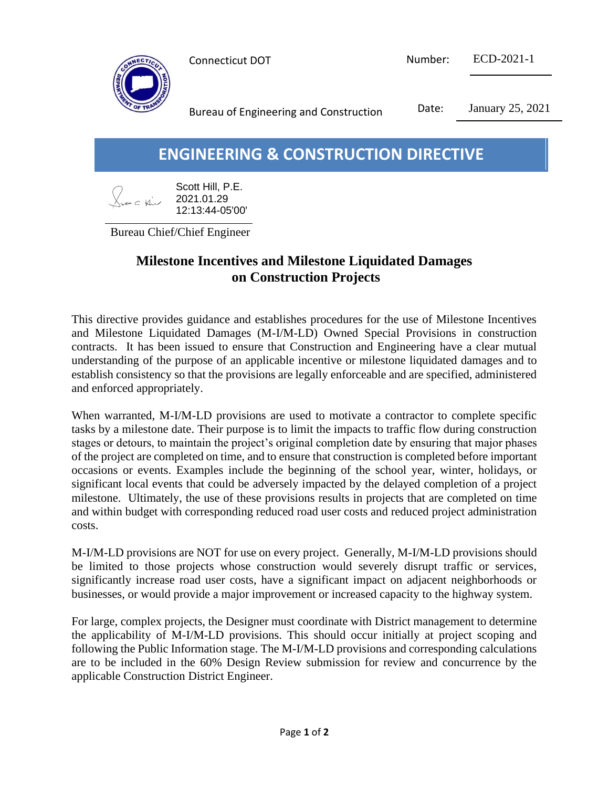

| Connecticut DOT | Number: | ECD-2021-1 |
|-----------------|---------|------------|
|                 |         |            |

Bureau of Engineering and Construction Date: January 25, 2021

# **ENGINEERING & CONSTRUCTION DIRECTIVE**

| $\left\langle \right\rangle$ | Scott Hill, P.E. |
|------------------------------|------------------|
| Door a thir                  | 2021.01.29       |
|                              | 12:13:44-05'00'  |

Bureau Chief/Chief Engineer

## **Milestone Incentives and Milestone Liquidated Damages on Construction Projects**

This directive provides guidance and establishes procedures for the use of Milestone Incentives and Milestone Liquidated Damages (M-I/M-LD) Owned Special Provisions in construction contracts. It has been issued to ensure that Construction and Engineering have a clear mutual understanding of the purpose of an applicable incentive or milestone liquidated damages and to establish consistency so that the provisions are legally enforceable and are specified, administered and enforced appropriately.

When warranted, M-I/M-LD provisions are used to motivate a contractor to complete specific tasks by a milestone date. Their purpose is to limit the impacts to traffic flow during construction stages or detours, to maintain the project's original completion date by ensuring that major phases of the project are completed on time, and to ensure that construction is completed before important occasions or events. Examples include the beginning of the school year, winter, holidays, or significant local events that could be adversely impacted by the delayed completion of a project milestone. Ultimately, the use of these provisions results in projects that are completed on time and within budget with corresponding reduced road user costs and reduced project administration costs.

M-I/M-LD provisions are NOT for use on every project. Generally, M-I/M-LD provisions should be limited to those projects whose construction would severely disrupt traffic or services, significantly increase road user costs, have a significant impact on adjacent neighborhoods or businesses, or would provide a major improvement or increased capacity to the highway system.

For large, complex projects, the Designer must coordinate with District management to determine the applicability of M-I/M-LD provisions. This should occur initially at project scoping and following the Public Information stage. The M-I/M-LD provisions and corresponding calculations are to be included in the 60% Design Review submission for review and concurrence by the applicable Construction District Engineer.